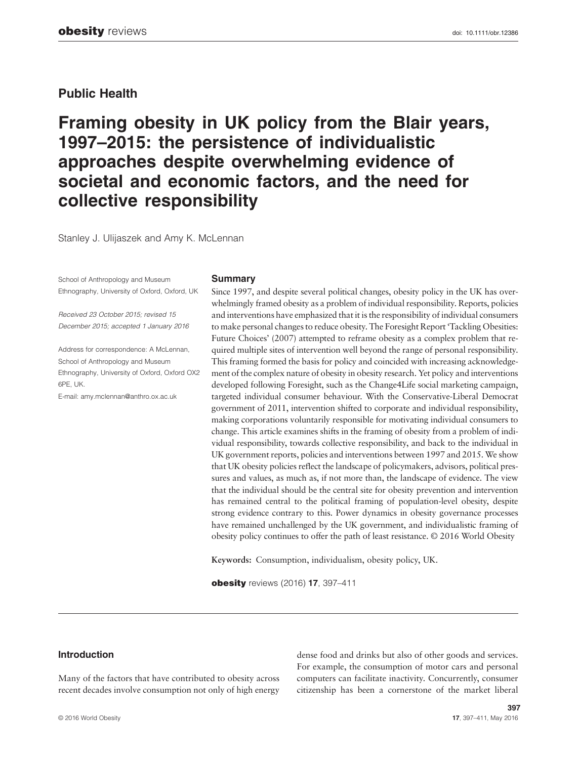# Public Health

Framing obesity in UK policy from the Blair years, 1997–2015: the persistence of individualistic approaches despite overwhelming evidence of societal and economic factors, and the need for collective responsibility

Stanley J. Ulijaszek and Amy K. McLennan

School of Anthropology and Museum Ethnography, University of Oxford, Oxford, UK

Received 23 October 2015; revised 15 December 2015; accepted 1 January 2016

Address for correspondence: A McLennan, School of Anthropology and Museum Ethnography, University of Oxford, Oxford OX2 6PE, UK.

E-mail: amy.mclennan@anthro.ox.ac.uk

#### **Summary**

Since 1997, and despite several political changes, obesity policy in the UK has overwhelmingly framed obesity as a problem of individual responsibility. Reports, policies and interventions have emphasized that it is the responsibility of individual consumers to make personal changes to reduce obesity. The Foresight Report 'Tackling Obesities: Future Choices' (2007) attempted to reframe obesity as a complex problem that required multiple sites of intervention well beyond the range of personal responsibility. This framing formed the basis for policy and coincided with increasing acknowledgement of the complex nature of obesity in obesity research. Yet policy and interventions developed following Foresight, such as the Change4Life social marketing campaign, targeted individual consumer behaviour. With the Conservative-Liberal Democrat government of 2011, intervention shifted to corporate and individual responsibility, making corporations voluntarily responsible for motivating individual consumers to change. This article examines shifts in the framing of obesity from a problem of individual responsibility, towards collective responsibility, and back to the individual in UK government reports, policies and interventions between 1997 and 2015. We show that UK obesity policies reflect the landscape of policymakers, advisors, political pressures and values, as much as, if not more than, the landscape of evidence. The view that the individual should be the central site for obesity prevention and intervention has remained central to the political framing of population-level obesity, despite strong evidence contrary to this. Power dynamics in obesity governance processes have remained unchallenged by the UK government, and individualistic framing of obesity policy continues to offer the path of least resistance. © 2016 World Obesity

Keywords: Consumption, individualism, obesity policy, UK.

obesity reviews (2016) 17, 397-411

# Introduction

Many of the factors that have contributed to obesity across recent decades involve consumption not only of high energy dense food and drinks but also of other goods and services. For example, the consumption of motor cars and personal computers can facilitate inactivity. Concurrently, consumer citizenship has been a cornerstone of the market liberal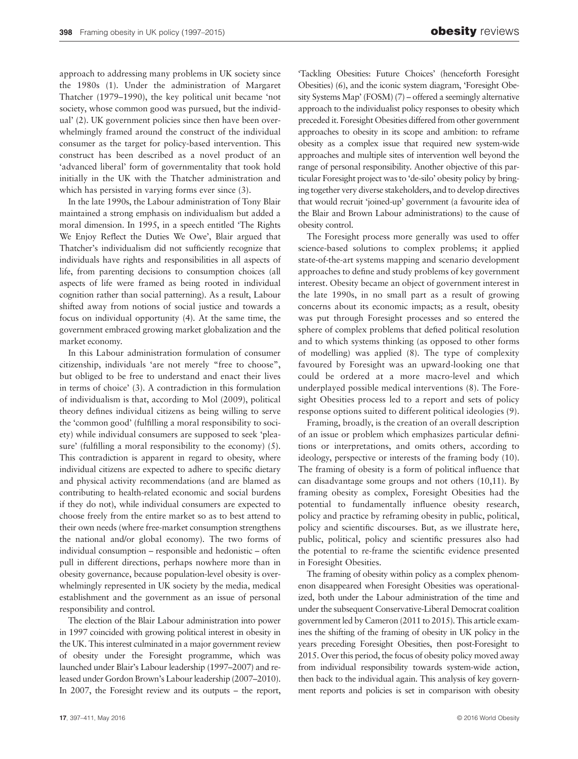approach to addressing many problems in UK society since the 1980s (1). Under the administration of Margaret Thatcher (1979–1990), the key political unit became 'not society, whose common good was pursued, but the individual' (2). UK government policies since then have been overwhelmingly framed around the construct of the individual consumer as the target for policy-based intervention. This construct has been described as a novel product of an 'advanced liberal' form of governmentality that took hold initially in the UK with the Thatcher administration and which has persisted in varying forms ever since (3).

In the late 1990s, the Labour administration of Tony Blair maintained a strong emphasis on individualism but added a moral dimension. In 1995, in a speech entitled 'The Rights We Enjoy Reflect the Duties We Owe', Blair argued that Thatcher's individualism did not sufficiently recognize that individuals have rights and responsibilities in all aspects of life, from parenting decisions to consumption choices (all aspects of life were framed as being rooted in individual cognition rather than social patterning). As a result, Labour shifted away from notions of social justice and towards a focus on individual opportunity (4). At the same time, the government embraced growing market globalization and the market economy.

In this Labour administration formulation of consumer citizenship, individuals 'are not merely "free to choose", but obliged to be free to understand and enact their lives in terms of choice' (3). A contradiction in this formulation of individualism is that, according to Mol (2009), political theory defines individual citizens as being willing to serve the 'common good' (fulfilling a moral responsibility to society) while individual consumers are supposed to seek 'pleasure' (fulfilling a moral responsibility to the economy) (5). This contradiction is apparent in regard to obesity, where individual citizens are expected to adhere to specific dietary and physical activity recommendations (and are blamed as contributing to health-related economic and social burdens if they do not), while individual consumers are expected to choose freely from the entire market so as to best attend to their own needs (where free-market consumption strengthens the national and/or global economy). The two forms of individual consumption – responsible and hedonistic – often pull in different directions, perhaps nowhere more than in obesity governance, because population-level obesity is overwhelmingly represented in UK society by the media, medical establishment and the government as an issue of personal responsibility and control.

The election of the Blair Labour administration into power in 1997 coincided with growing political interest in obesity in the UK. This interest culminated in a major government review of obesity under the Foresight programme, which was launched under Blair's Labour leadership (1997–2007) and released under Gordon Brown's Labour leadership (2007–2010). In 2007, the Foresight review and its outputs – the report,

'Tackling Obesities: Future Choices' (henceforth Foresight Obesities) (6), and the iconic system diagram, 'Foresight Obesity Systems Map' (FOSM) (7) – offered a seemingly alternative approach to the individualist policy responses to obesity which preceded it. Foresight Obesities differed from other government approaches to obesity in its scope and ambition: to reframe obesity as a complex issue that required new system-wide approaches and multiple sites of intervention well beyond the range of personal responsibility. Another objective of this particular Foresight project was to 'de-silo' obesity policy by bringing together very diverse stakeholders, and to develop directives that would recruit 'joined-up' government (a favourite idea of the Blair and Brown Labour administrations) to the cause of obesity control.

The Foresight process more generally was used to offer science-based solutions to complex problems; it applied state-of-the-art systems mapping and scenario development approaches to define and study problems of key government interest. Obesity became an object of government interest in the late 1990s, in no small part as a result of growing concerns about its economic impacts; as a result, obesity was put through Foresight processes and so entered the sphere of complex problems that defied political resolution and to which systems thinking (as opposed to other forms of modelling) was applied (8). The type of complexity favoured by Foresight was an upward-looking one that could be ordered at a more macro-level and which underplayed possible medical interventions (8). The Foresight Obesities process led to a report and sets of policy response options suited to different political ideologies (9).

Framing, broadly, is the creation of an overall description of an issue or problem which emphasizes particular definitions or interpretations, and omits others, according to ideology, perspective or interests of the framing body (10). The framing of obesity is a form of political influence that can disadvantage some groups and not others (10,11). By framing obesity as complex, Foresight Obesities had the potential to fundamentally influence obesity research, policy and practice by reframing obesity in public, political, policy and scientific discourses. But, as we illustrate here, public, political, policy and scientific pressures also had the potential to re-frame the scientific evidence presented in Foresight Obesities.

The framing of obesity within policy as a complex phenomenon disappeared when Foresight Obesities was operationalized, both under the Labour administration of the time and under the subsequent Conservative-Liberal Democrat coalition government led by Cameron (2011 to 2015). This article examines the shifting of the framing of obesity in UK policy in the years preceding Foresight Obesities, then post-Foresight to 2015. Over this period, the focus of obesity policy moved away from individual responsibility towards system-wide action, then back to the individual again. This analysis of key government reports and policies is set in comparison with obesity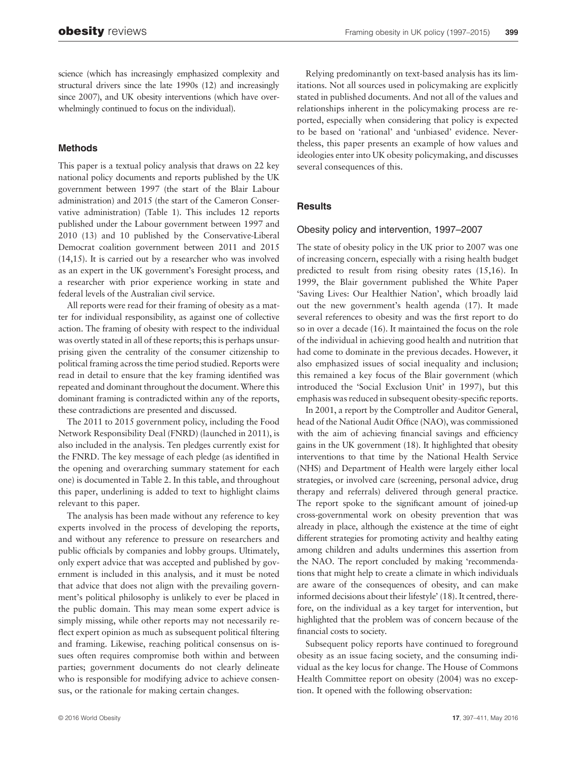science (which has increasingly emphasized complexity and structural drivers since the late 1990s (12) and increasingly since 2007), and UK obesity interventions (which have overwhelmingly continued to focus on the individual).

# Methods

This paper is a textual policy analysis that draws on 22 key national policy documents and reports published by the UK government between 1997 (the start of the Blair Labour administration) and 2015 (the start of the Cameron Conservative administration) (Table 1). This includes 12 reports published under the Labour government between 1997 and 2010 (13) and 10 published by the Conservative-Liberal Democrat coalition government between 2011 and 2015 (14,15). It is carried out by a researcher who was involved as an expert in the UK government's Foresight process, and a researcher with prior experience working in state and federal levels of the Australian civil service.

All reports were read for their framing of obesity as a matter for individual responsibility, as against one of collective action. The framing of obesity with respect to the individual was overtly stated in all of these reports; this is perhaps unsurprising given the centrality of the consumer citizenship to political framing across the time period studied. Reports were read in detail to ensure that the key framing identified was repeated and dominant throughout the document. Where this dominant framing is contradicted within any of the reports, these contradictions are presented and discussed.

The 2011 to 2015 government policy, including the Food Network Responsibility Deal (FNRD) (launched in 2011), is also included in the analysis. Ten pledges currently exist for the FNRD. The key message of each pledge (as identified in the opening and overarching summary statement for each one) is documented in Table 2. In this table, and throughout this paper, underlining is added to text to highlight claims relevant to this paper.

The analysis has been made without any reference to key experts involved in the process of developing the reports, and without any reference to pressure on researchers and public officials by companies and lobby groups. Ultimately, only expert advice that was accepted and published by government is included in this analysis, and it must be noted that advice that does not align with the prevailing government's political philosophy is unlikely to ever be placed in the public domain. This may mean some expert advice is simply missing, while other reports may not necessarily reflect expert opinion as much as subsequent political filtering and framing. Likewise, reaching political consensus on issues often requires compromise both within and between parties; government documents do not clearly delineate who is responsible for modifying advice to achieve consensus, or the rationale for making certain changes.

Relying predominantly on text-based analysis has its limitations. Not all sources used in policymaking are explicitly stated in published documents. And not all of the values and relationships inherent in the policymaking process are reported, especially when considering that policy is expected to be based on 'rational' and 'unbiased' evidence. Nevertheless, this paper presents an example of how values and ideologies enter into UK obesity policymaking, and discusses several consequences of this.

# **Results**

### Obesity policy and intervention, 1997–2007

The state of obesity policy in the UK prior to 2007 was one of increasing concern, especially with a rising health budget predicted to result from rising obesity rates (15,16). In 1999, the Blair government published the White Paper 'Saving Lives: Our Healthier Nation', which broadly laid out the new government's health agenda (17). It made several references to obesity and was the first report to do so in over a decade (16). It maintained the focus on the role of the individual in achieving good health and nutrition that had come to dominate in the previous decades. However, it also emphasized issues of social inequality and inclusion; this remained a key focus of the Blair government (which introduced the 'Social Exclusion Unit' in 1997), but this emphasis was reduced in subsequent obesity-specific reports.

In 2001, a report by the Comptroller and Auditor General, head of the National Audit Office (NAO), was commissioned with the aim of achieving financial savings and efficiency gains in the UK government (18). It highlighted that obesity interventions to that time by the National Health Service (NHS) and Department of Health were largely either local strategies, or involved care (screening, personal advice, drug therapy and referrals) delivered through general practice. The report spoke to the significant amount of joined-up cross-governmental work on obesity prevention that was already in place, although the existence at the time of eight different strategies for promoting activity and healthy eating among children and adults undermines this assertion from the NAO. The report concluded by making 'recommendations that might help to create a climate in which individuals are aware of the consequences of obesity, and can make informed decisions about their lifestyle' (18). It centred, therefore, on the individual as a key target for intervention, but highlighted that the problem was of concern because of the financial costs to society.

Subsequent policy reports have continued to foreground obesity as an issue facing society, and the consuming individual as the key locus for change. The House of Commons Health Committee report on obesity (2004) was no exception. It opened with the following observation: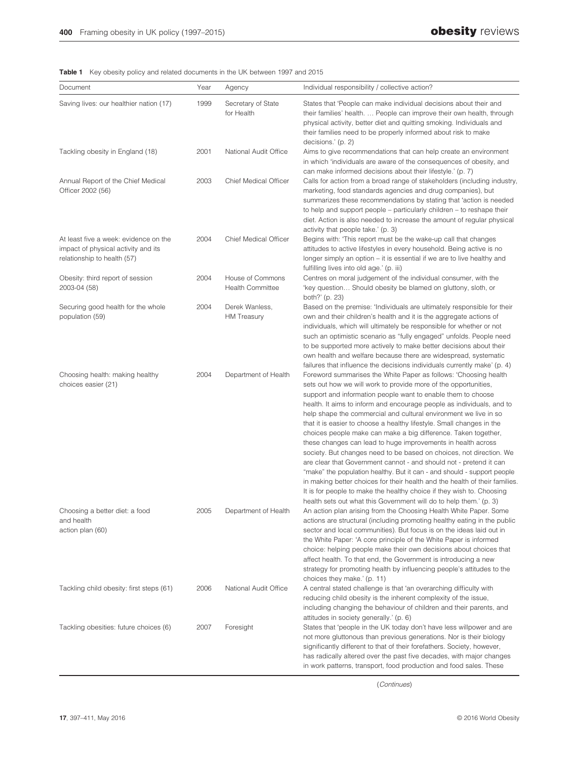Table 1 Key obesity policy and related documents in the UK between 1997 and 2015

| Document                                                                                                    | Year | Agency                                      | Individual responsibility / collective action?                                                                                                                                                                                                                                                                                                                                                                                                                                                                                                                                                                                                                                                                                                                                                                                                                                                                                                                                                                    |
|-------------------------------------------------------------------------------------------------------------|------|---------------------------------------------|-------------------------------------------------------------------------------------------------------------------------------------------------------------------------------------------------------------------------------------------------------------------------------------------------------------------------------------------------------------------------------------------------------------------------------------------------------------------------------------------------------------------------------------------------------------------------------------------------------------------------------------------------------------------------------------------------------------------------------------------------------------------------------------------------------------------------------------------------------------------------------------------------------------------------------------------------------------------------------------------------------------------|
| Saving lives: our healthier nation (17)                                                                     | 1999 | Secretary of State<br>for Health            | States that 'People can make individual decisions about their and<br>their families' health.  People can improve their own health, through<br>physical activity, better diet and quitting smoking. Individuals and<br>their families need to be properly informed about risk to make<br>decisions.' (p. 2)                                                                                                                                                                                                                                                                                                                                                                                                                                                                                                                                                                                                                                                                                                        |
| Tackling obesity in England (18)                                                                            | 2001 | National Audit Office                       | Aims to give recommendations that can help create an environment<br>in which 'individuals are aware of the consequences of obesity, and<br>can make informed decisions about their lifestyle.' (p. 7)                                                                                                                                                                                                                                                                                                                                                                                                                                                                                                                                                                                                                                                                                                                                                                                                             |
| Annual Report of the Chief Medical<br>Officer 2002 (56)                                                     | 2003 | <b>Chief Medical Officer</b>                | Calls for action from a broad range of stakeholders (including industry,<br>marketing, food standards agencies and drug companies), but<br>summarizes these recommendations by stating that 'action is needed<br>to help and support people – particularly children – to reshape their<br>diet. Action is also needed to increase the amount of regular physical<br>activity that people take.' (p. 3)                                                                                                                                                                                                                                                                                                                                                                                                                                                                                                                                                                                                            |
| At least five a week: evidence on the<br>impact of physical activity and its<br>relationship to health (57) | 2004 | <b>Chief Medical Officer</b>                | Begins with: 'This report must be the wake-up call that changes<br>attitudes to active lifestyles in every household. Being active is no<br>longer simply an option – it is essential if we are to live healthy and<br>fulfilling lives into old age.' (p. iii)                                                                                                                                                                                                                                                                                                                                                                                                                                                                                                                                                                                                                                                                                                                                                   |
| Obesity: third report of session<br>2003-04 (58)                                                            | 2004 | House of Commons<br><b>Health Committee</b> | Centres on moral judgement of the individual consumer, with the<br>'key question Should obesity be blamed on gluttony, sloth, or<br>both?' (p. 23)                                                                                                                                                                                                                                                                                                                                                                                                                                                                                                                                                                                                                                                                                                                                                                                                                                                                |
| Securing good health for the whole<br>population (59)                                                       | 2004 | Derek Wanless,<br><b>HM Treasury</b>        | Based on the premise: 'Individuals are ultimately responsible for their<br>own and their children's health and it is the aggregate actions of<br>individuals, which will ultimately be responsible for whether or not<br>such an optimistic scenario as "fully engaged" unfolds. People need<br>to be supported more actively to make better decisions about their<br>own health and welfare because there are widespread, systematic<br>failures that influence the decisions individuals currently make' (p. 4)                                                                                                                                                                                                                                                                                                                                                                                                                                                                                                 |
| Choosing health: making healthy<br>choices easier (21)                                                      | 2004 | Department of Health                        | Foreword summarises the White Paper as follows: 'Choosing health<br>sets out how we will work to provide more of the opportunities,<br>support and information people want to enable them to choose<br>health. It aims to inform and encourage people as individuals, and to<br>help shape the commercial and cultural environment we live in so<br>that it is easier to choose a healthy lifestyle. Small changes in the<br>choices people make can make a big difference. Taken together,<br>these changes can lead to huge improvements in health across<br>society. But changes need to be based on choices, not direction. We<br>are clear that Government cannot - and should not - pretend it can<br>"make" the population healthy. But it can - and should - support people<br>in making better choices for their health and the health of their families.<br>It is for people to make the healthy choice if they wish to. Choosing<br>health sets out what this Government will do to help them.' (p. 3) |
| Choosing a better diet: a food<br>and health<br>action plan (60)                                            | 2005 | Department of Health                        | An action plan arising from the Choosing Health White Paper. Some<br>actions are structural (including promoting healthy eating in the public<br>sector and local communities). But focus is on the ideas laid out in<br>the White Paper: 'A core principle of the White Paper is informed<br>choice: helping people make their own decisions about choices that<br>affect health. To that end, the Government is introducing a new<br>strategy for promoting health by influencing people's attitudes to the<br>choices they make.' (p. 11)                                                                                                                                                                                                                                                                                                                                                                                                                                                                      |
| Tackling child obesity: first steps (61)                                                                    | 2006 | National Audit Office                       | A central stated challenge is that 'an overarching difficulty with<br>reducing child obesity is the inherent complexity of the issue,<br>including changing the behaviour of children and their parents, and<br>attitudes in society generally.' (p. 6)                                                                                                                                                                                                                                                                                                                                                                                                                                                                                                                                                                                                                                                                                                                                                           |
| Tackling obesities: future choices (6)                                                                      | 2007 | Foresight                                   | States that 'people in the UK today don't have less willpower and are<br>not more gluttonous than previous generations. Nor is their biology<br>significantly different to that of their forefathers. Society, however,<br>has radically altered over the past five decades, with major changes<br>in work patterns, transport, food production and food sales. These                                                                                                                                                                                                                                                                                                                                                                                                                                                                                                                                                                                                                                             |

(Continues)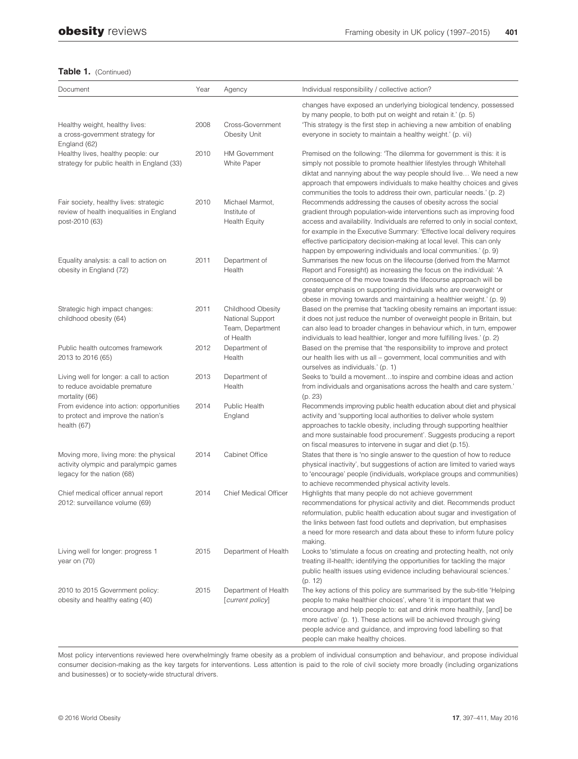| Document                                                                                                      | Year | Agency                                                                        | Individual responsibility / collective action?                                                                                                                                                                                                                                                                                                                                                                                                 |
|---------------------------------------------------------------------------------------------------------------|------|-------------------------------------------------------------------------------|------------------------------------------------------------------------------------------------------------------------------------------------------------------------------------------------------------------------------------------------------------------------------------------------------------------------------------------------------------------------------------------------------------------------------------------------|
| Healthy weight, healthy lives:<br>a cross-government strategy for<br>England (62)                             | 2008 | Cross-Government<br>Obesity Unit                                              | changes have exposed an underlying biological tendency, possessed<br>by many people, to both put on weight and retain it.' (p. 5)<br>'This strategy is the first step in achieving a new ambition of enabling<br>everyone in society to maintain a healthy weight.' (p. vii)                                                                                                                                                                   |
| Healthy lives, healthy people: our<br>strategy for public health in England (33)                              | 2010 | <b>HM Government</b><br>White Paper                                           | Premised on the following: 'The dilemma for government is this: it is<br>simply not possible to promote healthier lifestyles through Whitehall<br>diktat and nannying about the way people should live We need a new<br>approach that empowers individuals to make healthy choices and gives<br>communities the tools to address their own, particular needs.' (p. 2)                                                                          |
| Fair society, healthy lives: strategic<br>review of health inequalities in England<br>post-2010 (63)          | 2010 | Michael Marmot,<br>Institute of<br><b>Health Equity</b>                       | Recommends addressing the causes of obesity across the social<br>gradient through population-wide interventions such as improving food<br>access and availability. Individuals are referred to only in social context,<br>for example in the Executive Summary: 'Effective local delivery requires<br>effective participatory decision-making at local level. This can only<br>happen by empowering individuals and local communities.' (p. 9) |
| Equality analysis: a call to action on<br>obesity in England (72)                                             | 2011 | Department of<br>Health                                                       | Summarises the new focus on the lifecourse (derived from the Marmot<br>Report and Foresight) as increasing the focus on the individual: 'A<br>consequence of the move towards the lifecourse approach will be<br>greater emphasis on supporting individuals who are overweight or<br>obese in moving towards and maintaining a healthier weight.' (p. 9)                                                                                       |
| Strategic high impact changes:<br>childhood obesity (64)                                                      | 2011 | <b>Childhood Obesity</b><br>National Support<br>Team, Department<br>of Health | Based on the premise that 'tackling obesity remains an important issue:<br>it does not just reduce the number of overweight people in Britain, but<br>can also lead to broader changes in behaviour which, in turn, empower<br>individuals to lead healthier, longer and more fulfilling lives.' (p. 2)                                                                                                                                        |
| Public health outcomes framework<br>2013 to 2016 (65)                                                         | 2012 | Department of<br>Health                                                       | Based on the premise that 'the responsibility to improve and protect<br>our health lies with us all - government, local communities and with<br>ourselves as individuals.' (p. 1)                                                                                                                                                                                                                                                              |
| Living well for longer: a call to action<br>to reduce avoidable premature<br>mortality (66)                   | 2013 | Department of<br>Health                                                       | Seeks to 'build a movementto inspire and combine ideas and action<br>from individuals and organisations across the health and care system.'<br>(p. 23)                                                                                                                                                                                                                                                                                         |
| From evidence into action: opportunities<br>to protect and improve the nation's<br>health (67)                | 2014 | Public Health<br>England                                                      | Recommends improving public health education about diet and physical<br>activity and 'supporting local authorities to deliver whole system<br>approaches to tackle obesity, including through supporting healthier<br>and more sustainable food procurement'. Suggests producing a report<br>on fiscal measures to intervene in sugar and diet (p.15).                                                                                         |
| Moving more, living more: the physical<br>activity olympic and paralympic games<br>legacy for the nation (68) | 2014 | Cabinet Office                                                                | States that there is 'no single answer to the question of how to reduce<br>physical inactivity', but suggestions of action are limited to varied ways<br>to 'encourage' people (individuals, workplace groups and communities)<br>to achieve recommended physical activity levels.                                                                                                                                                             |
| Chief medical officer annual report<br>2012: surveillance volume (69)                                         | 2014 | <b>Chief Medical Officer</b>                                                  | Highlights that many people do not achieve government<br>recommendations for physical activity and diet. Recommends product<br>reformulation, public health education about sugar and investigation of<br>the links between fast food outlets and deprivation, but emphasises<br>a need for more research and data about these to inform future policy<br>making.                                                                              |
| Living well for longer: progress 1<br>year on (70)                                                            | 2015 | Department of Health                                                          | Looks to 'stimulate a focus on creating and protecting health, not only<br>treating ill-health; identifying the opportunities for tackling the major<br>public health issues using evidence including behavioural sciences.'<br>(p. 12)                                                                                                                                                                                                        |
| 2010 to 2015 Government policy:<br>obesity and healthy eating (40)                                            | 2015 | Department of Health<br>[current policy]                                      | The key actions of this policy are summarised by the sub-title 'Helping<br>people to make healthier choices', where 'it is important that we<br>encourage and help people to: eat and drink more healthily, [and] be<br>more active' (p. 1). These actions will be achieved through giving<br>people advice and guidance, and improving food labelling so that<br>people can make healthy choices.                                             |

Most policy interventions reviewed here overwhelmingly frame obesity as a problem of individual consumption and behaviour, and propose individual consumer decision-making as the key targets for interventions. Less attention is paid to the role of civil society more broadly (including organizations and businesses) or to society-wide structural drivers.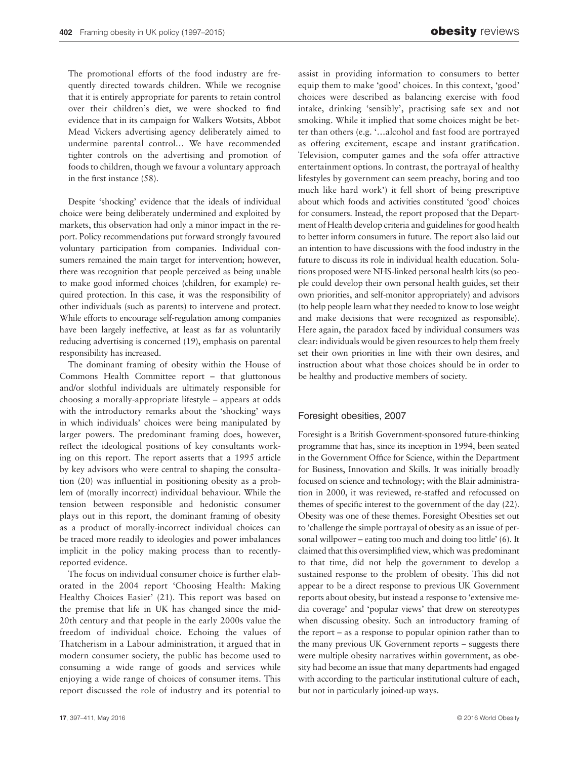The promotional efforts of the food industry are frequently directed towards children. While we recognise that it is entirely appropriate for parents to retain control over their children's diet, we were shocked to find evidence that in its campaign for Walkers Wotsits, Abbot Mead Vickers advertising agency deliberately aimed to undermine parental control… We have recommended tighter controls on the advertising and promotion of foods to children, though we favour a voluntary approach in the first instance (58).

Despite 'shocking' evidence that the ideals of individual choice were being deliberately undermined and exploited by markets, this observation had only a minor impact in the report. Policy recommendations put forward strongly favoured voluntary participation from companies. Individual consumers remained the main target for intervention; however, there was recognition that people perceived as being unable to make good informed choices (children, for example) required protection. In this case, it was the responsibility of other individuals (such as parents) to intervene and protect. While efforts to encourage self-regulation among companies have been largely ineffective, at least as far as voluntarily reducing advertising is concerned (19), emphasis on parental responsibility has increased.

The dominant framing of obesity within the House of Commons Health Committee report – that gluttonous and/or slothful individuals are ultimately responsible for choosing a morally-appropriate lifestyle – appears at odds with the introductory remarks about the 'shocking' ways in which individuals' choices were being manipulated by larger powers. The predominant framing does, however, reflect the ideological positions of key consultants working on this report. The report asserts that a 1995 article by key advisors who were central to shaping the consultation (20) was influential in positioning obesity as a problem of (morally incorrect) individual behaviour. While the tension between responsible and hedonistic consumer plays out in this report, the dominant framing of obesity as a product of morally-incorrect individual choices can be traced more readily to ideologies and power imbalances implicit in the policy making process than to recentlyreported evidence.

The focus on individual consumer choice is further elaborated in the 2004 report 'Choosing Health: Making Healthy Choices Easier' (21). This report was based on the premise that life in UK has changed since the mid-20th century and that people in the early 2000s value the freedom of individual choice. Echoing the values of Thatcherism in a Labour administration, it argued that in modern consumer society, the public has become used to consuming a wide range of goods and services while enjoying a wide range of choices of consumer items. This report discussed the role of industry and its potential to assist in providing information to consumers to better equip them to make 'good' choices. In this context, 'good' choices were described as balancing exercise with food intake, drinking 'sensibly', practising safe sex and not smoking. While it implied that some choices might be better than others (e.g. '…alcohol and fast food are portrayed as offering excitement, escape and instant gratification. Television, computer games and the sofa offer attractive entertainment options. In contrast, the portrayal of healthy lifestyles by government can seem preachy, boring and too much like hard work') it fell short of being prescriptive about which foods and activities constituted 'good' choices for consumers. Instead, the report proposed that the Department of Health develop criteria and guidelines for good health to better inform consumers in future. The report also laid out an intention to have discussions with the food industry in the future to discuss its role in individual health education. Solutions proposed were NHS-linked personal health kits (so people could develop their own personal health guides, set their own priorities, and self-monitor appropriately) and advisors (to help people learn what they needed to know to lose weight and make decisions that were recognized as responsible). Here again, the paradox faced by individual consumers was clear: individuals would be given resources to help them freely set their own priorities in line with their own desires, and instruction about what those choices should be in order to be healthy and productive members of society.

### Foresight obesities, 2007

Foresight is a British Government-sponsored future-thinking programme that has, since its inception in 1994, been seated in the Government Office for Science, within the Department for Business, Innovation and Skills. It was initially broadly focused on science and technology; with the Blair administration in 2000, it was reviewed, re-staffed and refocussed on themes of specific interest to the government of the day (22). Obesity was one of these themes. Foresight Obesities set out to 'challenge the simple portrayal of obesity as an issue of personal willpower – eating too much and doing too little' (6). It claimed that this oversimplified view, which was predominant to that time, did not help the government to develop a sustained response to the problem of obesity. This did not appear to be a direct response to previous UK Government reports about obesity, but instead a response to 'extensive media coverage' and 'popular views' that drew on stereotypes when discussing obesity. Such an introductory framing of the report – as a response to popular opinion rather than to the many previous UK Government reports – suggests there were multiple obesity narratives within government, as obesity had become an issue that many departments had engaged with according to the particular institutional culture of each, but not in particularly joined-up ways.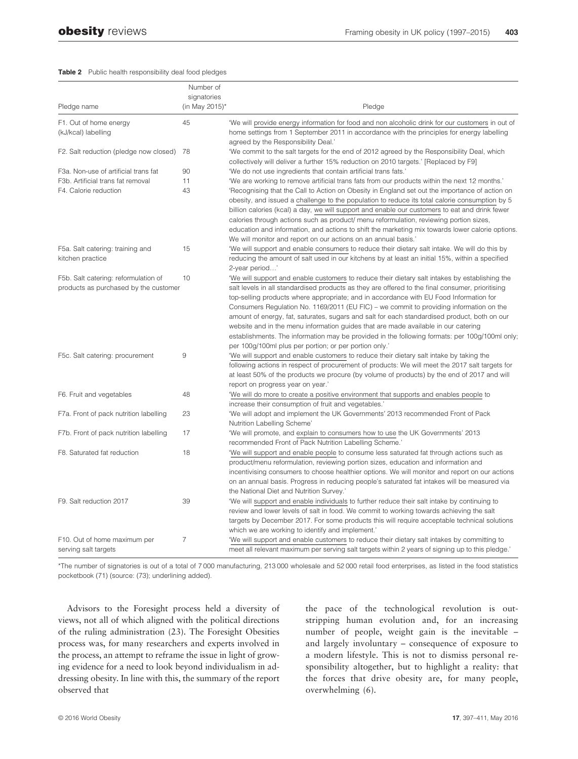#### Table 2 Public health responsibility deal food pledges

|                                           | Number of      |                                                                                                                                                                 |
|-------------------------------------------|----------------|-----------------------------------------------------------------------------------------------------------------------------------------------------------------|
|                                           | signatories    |                                                                                                                                                                 |
| Pledge name                               | (in May 2015)* | Pledge                                                                                                                                                          |
| F1. Out of home energy                    | 45             | 'We will provide energy information for food and non alcoholic drink for our customers in out of                                                                |
| (kJ/kcal) labelling                       |                | home settings from 1 September 2011 in accordance with the principles for energy labelling                                                                      |
|                                           |                | agreed by the Responsibility Deal.'                                                                                                                             |
| F2. Salt reduction (pledge now closed) 78 |                | 'We commit to the salt targets for the end of 2012 agreed by the Responsibility Deal, which                                                                     |
|                                           |                | collectively will deliver a further 15% reduction on 2010 targets.' [Replaced by F9]                                                                            |
| F3a. Non-use of artificial trans fat      | 90             | 'We do not use ingredients that contain artificial trans fats.'                                                                                                 |
| F3b. Artificial trans fat removal         | 11             | "We are working to remove artificial trans fats from our products within the next 12 months."                                                                   |
| F4. Calorie reduction                     | 43             | 'Recognising that the Call to Action on Obesity in England set out the importance of action on                                                                  |
|                                           |                | obesity, and issued a challenge to the population to reduce its total calorie consumption by 5                                                                  |
|                                           |                | billion calories (kcal) a day, we will support and enable our customers to eat and drink fewer                                                                  |
|                                           |                | calories through actions such as product/ menu reformulation, reviewing portion sizes,                                                                          |
|                                           |                | education and information, and actions to shift the marketing mix towards lower calorie options.                                                                |
| F5a. Salt catering: training and          | 15             | We will monitor and report on our actions on an annual basis.'<br>'We will support and enable consumers to reduce their dietary salt intake. We will do this by |
| kitchen practice                          |                | reducing the amount of salt used in our kitchens by at least an initial 15%, within a specified                                                                 |
|                                           |                | 2-year period'                                                                                                                                                  |
| F5b. Salt catering: reformulation of      | 10             | 'We will support and enable customers to reduce their dietary salt intakes by establishing the                                                                  |
| products as purchased by the customer     |                | salt levels in all standardised products as they are offered to the final consumer, prioritising                                                                |
|                                           |                | top-selling products where appropriate; and in accordance with EU Food Information for                                                                          |
|                                           |                | Consumers Regulation No. 1169/2011 (EU FIC) – we commit to providing information on the                                                                         |
|                                           |                | amount of energy, fat, saturates, sugars and salt for each standardised product, both on our                                                                    |
|                                           |                | website and in the menu information guides that are made available in our catering                                                                              |
|                                           |                | establishments. The information may be provided in the following formats: per 100g/100ml only;                                                                  |
|                                           |                | per 100g/100ml plus per portion; or per portion only.'                                                                                                          |
| F5c. Salt catering: procurement           | 9              | 'We will support and enable customers to reduce their dietary salt intake by taking the                                                                         |
|                                           |                | following actions in respect of procurement of products: We will meet the 2017 salt targets for                                                                 |
|                                           |                | at least 50% of the products we procure (by volume of products) by the end of 2017 and will                                                                     |
|                                           |                | report on progress year on year.'                                                                                                                               |
| F6. Fruit and vegetables                  | 48             | 'We will do more to create a positive environment that supports and enables people to                                                                           |
|                                           |                | increase their consumption of fruit and vegetables.'                                                                                                            |
| F7a. Front of pack nutrition labelling    | 23             | 'We will adopt and implement the UK Governments' 2013 recommended Front of Pack                                                                                 |
| F7b. Front of pack nutrition labelling    | 17             | Nutrition Labelling Scheme'                                                                                                                                     |
|                                           |                | 'We will promote, and explain to consumers how to use the UK Governments' 2013<br>recommended Front of Pack Nutrition Labelling Scheme.'                        |
| F8. Saturated fat reduction               | 18             | 'We will support and enable people to consume less saturated fat through actions such as                                                                        |
|                                           |                | product/menu reformulation, reviewing portion sizes, education and information and                                                                              |
|                                           |                | incentivising consumers to choose healthier options. We will monitor and report on our actions                                                                  |
|                                           |                | on an annual basis. Progress in reducing people's saturated fat intakes will be measured via                                                                    |
|                                           |                | the National Diet and Nutrition Survey.'                                                                                                                        |
| F9. Salt reduction 2017                   | 39             | 'We will support and enable individuals to further reduce their salt intake by continuing to                                                                    |
|                                           |                | review and lower levels of salt in food. We commit to working towards achieving the salt                                                                        |
|                                           |                | targets by December 2017. For some products this will require acceptable technical solutions                                                                    |
|                                           |                | which we are working to identify and implement.'                                                                                                                |
| F10. Out of home maximum per              | $\overline{7}$ | 'We will support and enable customers to reduce their dietary salt intakes by committing to                                                                     |
| serving salt targets                      |                | meet all relevant maximum per serving salt targets within 2 years of signing up to this pledge."                                                                |

\*The number of signatories is out of a total of 7 000 manufacturing, 213 000 wholesale and 52 000 retail food enterprises, as listed in the food statistics pocketbook (71) (source: (73); underlining added).

Advisors to the Foresight process held a diversity of views, not all of which aligned with the political directions of the ruling administration (23). The Foresight Obesities process was, for many researchers and experts involved in the process, an attempt to reframe the issue in light of growing evidence for a need to look beyond individualism in addressing obesity. In line with this, the summary of the report observed that

the pace of the technological revolution is outstripping human evolution and, for an increasing number of people, weight gain is the inevitable – and largely involuntary – consequence of exposure to a modern lifestyle. This is not to dismiss personal responsibility altogether, but to highlight a reality: that the forces that drive obesity are, for many people, overwhelming (6).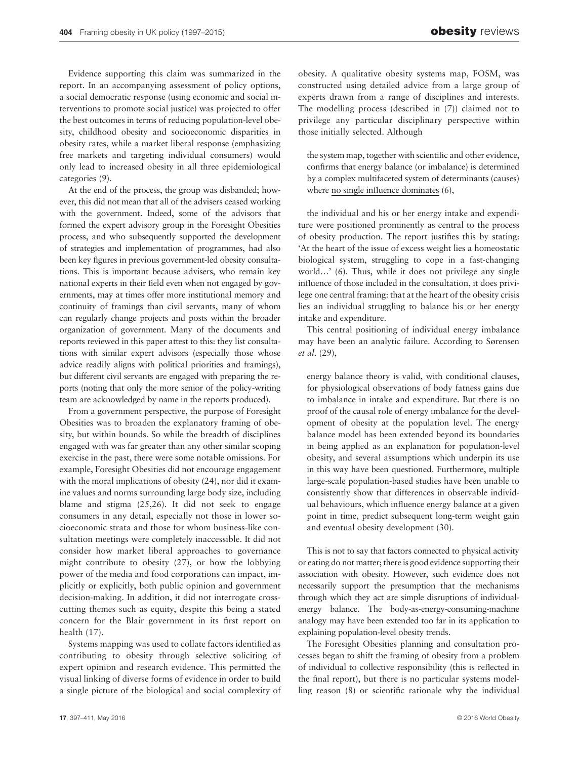Evidence supporting this claim was summarized in the report. In an accompanying assessment of policy options, a social democratic response (using economic and social interventions to promote social justice) was projected to offer the best outcomes in terms of reducing population-level obesity, childhood obesity and socioeconomic disparities in obesity rates, while a market liberal response (emphasizing free markets and targeting individual consumers) would only lead to increased obesity in all three epidemiological categories (9).

At the end of the process, the group was disbanded; however, this did not mean that all of the advisers ceased working with the government. Indeed, some of the advisors that formed the expert advisory group in the Foresight Obesities process, and who subsequently supported the development of strategies and implementation of programmes, had also been key figures in previous government-led obesity consultations. This is important because advisers, who remain key national experts in their field even when not engaged by governments, may at times offer more institutional memory and continuity of framings than civil servants, many of whom can regularly change projects and posts within the broader organization of government. Many of the documents and reports reviewed in this paper attest to this: they list consultations with similar expert advisors (especially those whose advice readily aligns with political priorities and framings), but different civil servants are engaged with preparing the reports (noting that only the more senior of the policy-writing team are acknowledged by name in the reports produced).

From a government perspective, the purpose of Foresight Obesities was to broaden the explanatory framing of obesity, but within bounds. So while the breadth of disciplines engaged with was far greater than any other similar scoping exercise in the past, there were some notable omissions. For example, Foresight Obesities did not encourage engagement with the moral implications of obesity (24), nor did it examine values and norms surrounding large body size, including blame and stigma (25,26). It did not seek to engage consumers in any detail, especially not those in lower socioeconomic strata and those for whom business-like consultation meetings were completely inaccessible. It did not consider how market liberal approaches to governance might contribute to obesity (27), or how the lobbying power of the media and food corporations can impact, implicitly or explicitly, both public opinion and government decision-making. In addition, it did not interrogate crosscutting themes such as equity, despite this being a stated concern for the Blair government in its first report on health (17).

Systems mapping was used to collate factors identified as contributing to obesity through selective soliciting of expert opinion and research evidence. This permitted the visual linking of diverse forms of evidence in order to build a single picture of the biological and social complexity of

obesity. A qualitative obesity systems map, FOSM, was constructed using detailed advice from a large group of experts drawn from a range of disciplines and interests. The modelling process (described in (7)) claimed not to privilege any particular disciplinary perspective within those initially selected. Although

the system map, together with scientific and other evidence, confirms that energy balance (or imbalance) is determined by a complex multifaceted system of determinants (causes) where no single influence dominates (6),

the individual and his or her energy intake and expenditure were positioned prominently as central to the process of obesity production. The report justifies this by stating: 'At the heart of the issue of excess weight lies a homeostatic biological system, struggling to cope in a fast-changing world…' (6). Thus, while it does not privilege any single influence of those included in the consultation, it does privilege one central framing: that at the heart of the obesity crisis lies an individual struggling to balance his or her energy intake and expenditure.

This central positioning of individual energy imbalance may have been an analytic failure. According to Sørensen et al. (29),

energy balance theory is valid, with conditional clauses, for physiological observations of body fatness gains due to imbalance in intake and expenditure. But there is no proof of the causal role of energy imbalance for the development of obesity at the population level. The energy balance model has been extended beyond its boundaries in being applied as an explanation for population-level obesity, and several assumptions which underpin its use in this way have been questioned. Furthermore, multiple large-scale population-based studies have been unable to consistently show that differences in observable individual behaviours, which influence energy balance at a given point in time, predict subsequent long-term weight gain and eventual obesity development (30).

This is not to say that factors connected to physical activity or eating do not matter; there is good evidence supporting their association with obesity. However, such evidence does not necessarily support the presumption that the mechanisms through which they act are simple disruptions of individualenergy balance. The body-as-energy-consuming-machine analogy may have been extended too far in its application to explaining population-level obesity trends.

The Foresight Obesities planning and consultation processes began to shift the framing of obesity from a problem of individual to collective responsibility (this is reflected in the final report), but there is no particular systems modelling reason (8) or scientific rationale why the individual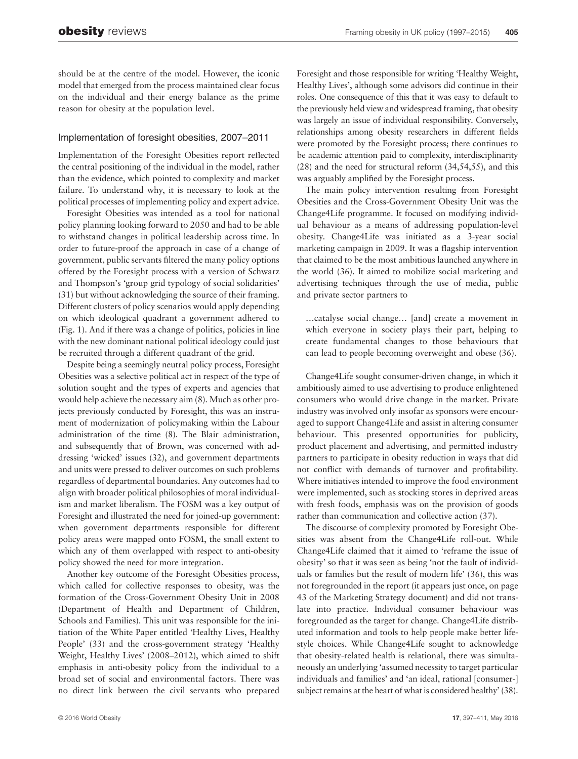should be at the centre of the model. However, the iconic model that emerged from the process maintained clear focus on the individual and their energy balance as the prime reason for obesity at the population level.

# Implementation of foresight obesities, 2007–2011

Implementation of the Foresight Obesities report reflected the central positioning of the individual in the model, rather than the evidence, which pointed to complexity and market failure. To understand why, it is necessary to look at the political processes of implementing policy and expert advice.

Foresight Obesities was intended as a tool for national policy planning looking forward to 2050 and had to be able to withstand changes in political leadership across time. In order to future-proof the approach in case of a change of government, public servants filtered the many policy options offered by the Foresight process with a version of Schwarz and Thompson's 'group grid typology of social solidarities' (31) but without acknowledging the source of their framing. Different clusters of policy scenarios would apply depending on which ideological quadrant a government adhered to (Fig. 1). And if there was a change of politics, policies in line with the new dominant national political ideology could just be recruited through a different quadrant of the grid.

Despite being a seemingly neutral policy process, Foresight Obesities was a selective political act in respect of the type of solution sought and the types of experts and agencies that would help achieve the necessary aim (8). Much as other projects previously conducted by Foresight, this was an instrument of modernization of policymaking within the Labour administration of the time (8). The Blair administration, and subsequently that of Brown, was concerned with addressing 'wicked' issues (32), and government departments and units were pressed to deliver outcomes on such problems regardless of departmental boundaries. Any outcomes had to align with broader political philosophies of moral individualism and market liberalism. The FOSM was a key output of Foresight and illustrated the need for joined-up government: when government departments responsible for different policy areas were mapped onto FOSM, the small extent to which any of them overlapped with respect to anti-obesity policy showed the need for more integration.

Another key outcome of the Foresight Obesities process, which called for collective responses to obesity, was the formation of the Cross-Government Obesity Unit in 2008 (Department of Health and Department of Children, Schools and Families). This unit was responsible for the initiation of the White Paper entitled 'Healthy Lives, Healthy People' (33) and the cross-government strategy 'Healthy Weight, Healthy Lives' (2008–2012), which aimed to shift emphasis in anti-obesity policy from the individual to a broad set of social and environmental factors. There was no direct link between the civil servants who prepared Foresight and those responsible for writing 'Healthy Weight, Healthy Lives', although some advisors did continue in their roles. One consequence of this that it was easy to default to the previously held view and widespread framing, that obesity was largely an issue of individual responsibility. Conversely, relationships among obesity researchers in different fields were promoted by the Foresight process; there continues to be academic attention paid to complexity, interdisciplinarity (28) and the need for structural reform (34,54,55), and this was arguably amplified by the Foresight process.

The main policy intervention resulting from Foresight Obesities and the Cross-Government Obesity Unit was the Change4Life programme. It focused on modifying individual behaviour as a means of addressing population-level obesity. Change4Life was initiated as a 3-year social marketing campaign in 2009. It was a flagship intervention that claimed to be the most ambitious launched anywhere in the world (36). It aimed to mobilize social marketing and advertising techniques through the use of media, public and private sector partners to

…catalyse social change… [and] create a movement in which everyone in society plays their part, helping to create fundamental changes to those behaviours that can lead to people becoming overweight and obese (36).

Change4Life sought consumer-driven change, in which it ambitiously aimed to use advertising to produce enlightened consumers who would drive change in the market. Private industry was involved only insofar as sponsors were encouraged to support Change4Life and assist in altering consumer behaviour. This presented opportunities for publicity, product placement and advertising, and permitted industry partners to participate in obesity reduction in ways that did not conflict with demands of turnover and profitability. Where initiatives intended to improve the food environment were implemented, such as stocking stores in deprived areas with fresh foods, emphasis was on the provision of goods rather than communication and collective action (37).

The discourse of complexity promoted by Foresight Obesities was absent from the Change4Life roll-out. While Change4Life claimed that it aimed to 'reframe the issue of obesity' so that it was seen as being 'not the fault of individuals or families but the result of modern life' (36), this was not foregrounded in the report (it appears just once, on page 43 of the Marketing Strategy document) and did not translate into practice. Individual consumer behaviour was foregrounded as the target for change. Change4Life distributed information and tools to help people make better lifestyle choices. While Change4Life sought to acknowledge that obesity-related health is relational, there was simultaneously an underlying 'assumed necessity to target particular individuals and families' and 'an ideal, rational [consumer-] subject remains at the heart of what is considered healthy' (38).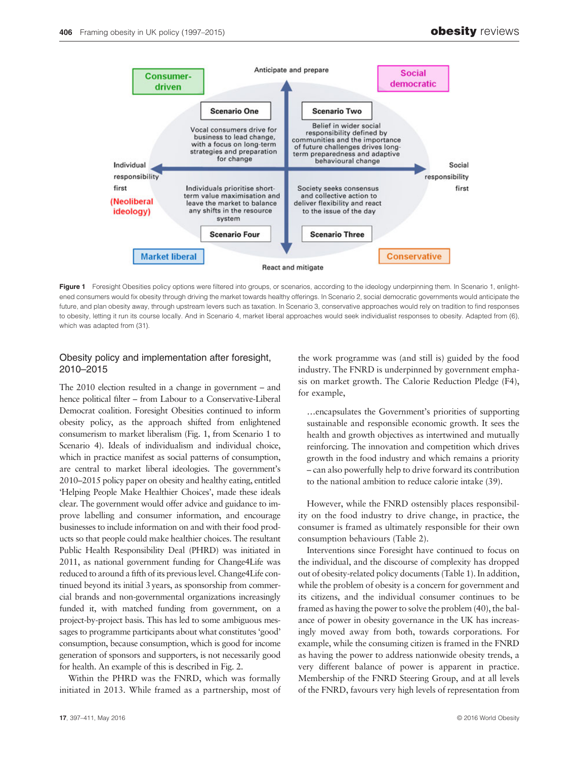

Figure 1 Foresight Obesities policy options were filtered into groups, or scenarios, according to the ideology underpinning them. In Scenario 1, enlightened consumers would fix obesity through driving the market towards healthy offerings. In Scenario 2, social democratic governments would anticipate the future, and plan obesity away, through upstream levers such as taxation. In Scenario 3, conservative approaches would rely on tradition to find responses to obesity, letting it run its course locally. And in Scenario 4, market liberal approaches would seek individualist responses to obesity. Adapted from (6), which was adapted from (31).

# Obesity policy and implementation after foresight, 2010–2015

The 2010 election resulted in a change in government – and hence political filter – from Labour to a Conservative-Liberal Democrat coalition. Foresight Obesities continued to inform obesity policy, as the approach shifted from enlightened consumerism to market liberalism (Fig. 1, from Scenario 1 to Scenario 4). Ideals of individualism and individual choice, which in practice manifest as social patterns of consumption, are central to market liberal ideologies. The government's 2010–2015 policy paper on obesity and healthy eating, entitled 'Helping People Make Healthier Choices', made these ideals clear. The government would offer advice and guidance to improve labelling and consumer information, and encourage businesses to include information on and with their food products so that people could make healthier choices. The resultant Public Health Responsibility Deal (PHRD) was initiated in 2011, as national government funding for Change4Life was reduced to around a fifth of its previous level. Change4Life continued beyond its initial 3 years, as sponsorship from commercial brands and non-governmental organizations increasingly funded it, with matched funding from government, on a project-by-project basis. This has led to some ambiguous messages to programme participants about what constitutes 'good' consumption, because consumption, which is good for income generation of sponsors and supporters, is not necessarily good for health. An example of this is described in Fig. 2.

Within the PHRD was the FNRD, which was formally initiated in 2013. While framed as a partnership, most of the work programme was (and still is) guided by the food industry. The FNRD is underpinned by government emphasis on market growth. The Calorie Reduction Pledge (F4), for example,

…encapsulates the Government's priorities of supporting sustainable and responsible economic growth. It sees the health and growth objectives as intertwined and mutually reinforcing. The innovation and competition which drives growth in the food industry and which remains a priority – can also powerfully help to drive forward its contribution to the national ambition to reduce calorie intake (39).

However, while the FNRD ostensibly places responsibility on the food industry to drive change, in practice, the consumer is framed as ultimately responsible for their own consumption behaviours (Table 2).

Interventions since Foresight have continued to focus on the individual, and the discourse of complexity has dropped out of obesity-related policy documents (Table 1). In addition, while the problem of obesity is a concern for government and its citizens, and the individual consumer continues to be framed as having the power to solve the problem (40), the balance of power in obesity governance in the UK has increasingly moved away from both, towards corporations. For example, while the consuming citizen is framed in the FNRD as having the power to address nationwide obesity trends, a very different balance of power is apparent in practice. Membership of the FNRD Steering Group, and at all levels of the FNRD, favours very high levels of representation from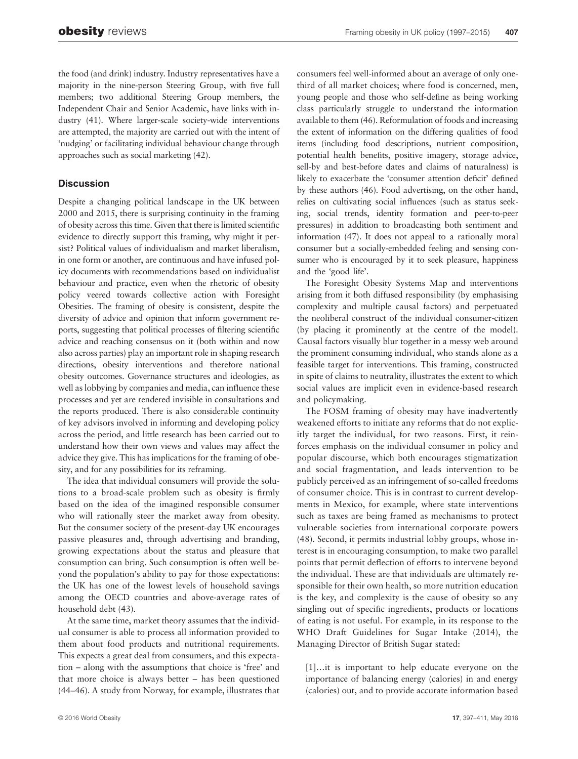the food (and drink) industry. Industry representatives have a majority in the nine-person Steering Group, with five full members; two additional Steering Group members, the Independent Chair and Senior Academic, have links with industry (41). Where larger-scale society-wide interventions are attempted, the majority are carried out with the intent of 'nudging' or facilitating individual behaviour change through approaches such as social marketing (42).

# **Discussion**

Despite a changing political landscape in the UK between 2000 and 2015, there is surprising continuity in the framing of obesity across this time. Given that there is limited scientific evidence to directly support this framing, why might it persist? Political values of individualism and market liberalism, in one form or another, are continuous and have infused policy documents with recommendations based on individualist behaviour and practice, even when the rhetoric of obesity policy veered towards collective action with Foresight Obesities. The framing of obesity is consistent, despite the diversity of advice and opinion that inform government reports, suggesting that political processes of filtering scientific advice and reaching consensus on it (both within and now also across parties) play an important role in shaping research directions, obesity interventions and therefore national obesity outcomes. Governance structures and ideologies, as well as lobbying by companies and media, can influence these processes and yet are rendered invisible in consultations and the reports produced. There is also considerable continuity of key advisors involved in informing and developing policy across the period, and little research has been carried out to understand how their own views and values may affect the advice they give. This has implications for the framing of obesity, and for any possibilities for its reframing.

The idea that individual consumers will provide the solutions to a broad-scale problem such as obesity is firmly based on the idea of the imagined responsible consumer who will rationally steer the market away from obesity. But the consumer society of the present-day UK encourages passive pleasures and, through advertising and branding, growing expectations about the status and pleasure that consumption can bring. Such consumption is often well beyond the population's ability to pay for those expectations: the UK has one of the lowest levels of household savings among the OECD countries and above-average rates of household debt (43).

At the same time, market theory assumes that the individual consumer is able to process all information provided to them about food products and nutritional requirements. This expects a great deal from consumers, and this expectation – along with the assumptions that choice is 'free' and that more choice is always better – has been questioned (44–46). A study from Norway, for example, illustrates that consumers feel well-informed about an average of only onethird of all market choices; where food is concerned, men, young people and those who self-define as being working class particularly struggle to understand the information available to them (46). Reformulation of foods and increasing the extent of information on the differing qualities of food items (including food descriptions, nutrient composition, potential health benefits, positive imagery, storage advice, sell-by and best-before dates and claims of naturalness) is likely to exacerbate the 'consumer attention deficit' defined by these authors (46). Food advertising, on the other hand, relies on cultivating social influences (such as status seeking, social trends, identity formation and peer-to-peer pressures) in addition to broadcasting both sentiment and information (47). It does not appeal to a rationally moral consumer but a socially-embedded feeling and sensing consumer who is encouraged by it to seek pleasure, happiness and the 'good life'.

The Foresight Obesity Systems Map and interventions arising from it both diffused responsibility (by emphasising complexity and multiple causal factors) and perpetuated the neoliberal construct of the individual consumer-citizen (by placing it prominently at the centre of the model). Causal factors visually blur together in a messy web around the prominent consuming individual, who stands alone as a feasible target for interventions. This framing, constructed in spite of claims to neutrality, illustrates the extent to which social values are implicit even in evidence-based research and policymaking.

The FOSM framing of obesity may have inadvertently weakened efforts to initiate any reforms that do not explicitly target the individual, for two reasons. First, it reinforces emphasis on the individual consumer in policy and popular discourse, which both encourages stigmatization and social fragmentation, and leads intervention to be publicly perceived as an infringement of so-called freedoms of consumer choice. This is in contrast to current developments in Mexico, for example, where state interventions such as taxes are being framed as mechanisms to protect vulnerable societies from international corporate powers (48). Second, it permits industrial lobby groups, whose interest is in encouraging consumption, to make two parallel points that permit deflection of efforts to intervene beyond the individual. These are that individuals are ultimately responsible for their own health, so more nutrition education is the key, and complexity is the cause of obesity so any singling out of specific ingredients, products or locations of eating is not useful. For example, in its response to the WHO Draft Guidelines for Sugar Intake (2014), the Managing Director of British Sugar stated:

[1]…it is important to help educate everyone on the importance of balancing energy (calories) in and energy (calories) out, and to provide accurate information based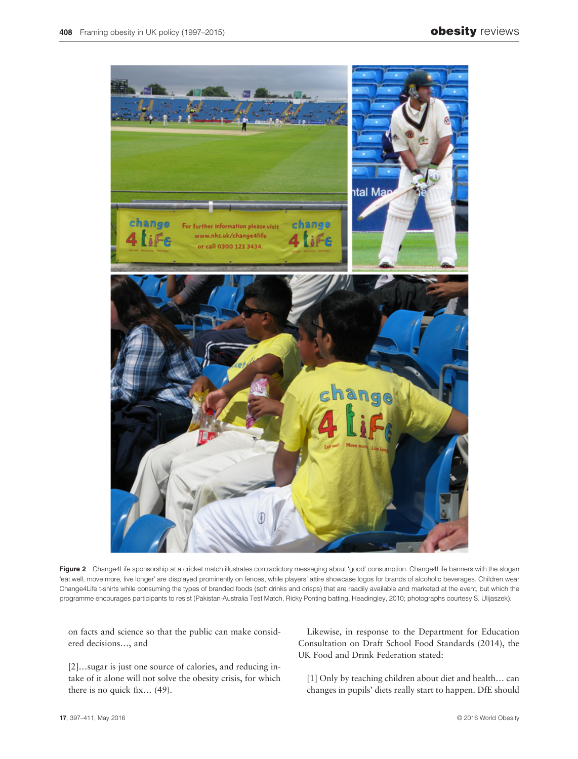

Figure 2 Change4Life sponsorship at a cricket match illustrates contradictory messaging about 'good' consumption. Change4Life banners with the slogan 'eat well, move more, live longer' are displayed prominently on fences, while players' attire showcase logos for brands of alcoholic beverages. Children wear Change4Life t-shirts while consuming the types of branded foods (soft drinks and crisps) that are readily available and marketed at the event, but which the programme encourages participants to resist (Pakistan-Australia Test Match, Ricky Ponting batting, Headingley, 2010; photographs courtesy S. Ulijaszek).

on facts and science so that the public can make considered decisions…, and

[2]…sugar is just one source of calories, and reducing intake of it alone will not solve the obesity crisis, for which there is no quick fix… (49).

Likewise, in response to the Department for Education Consultation on Draft School Food Standards (2014), the UK Food and Drink Federation stated:

[1] Only by teaching children about diet and health… can changes in pupils' diets really start to happen. DfE should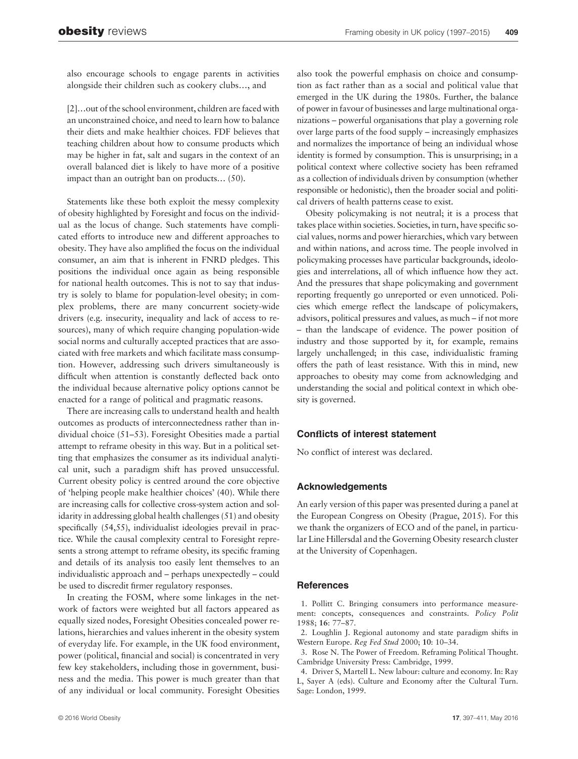also encourage schools to engage parents in activities alongside their children such as cookery clubs…, and

[2]…out of the school environment, children are faced with an unconstrained choice, and need to learn how to balance their diets and make healthier choices. FDF believes that teaching children about how to consume products which may be higher in fat, salt and sugars in the context of an overall balanced diet is likely to have more of a positive impact than an outright ban on products… (50).

Statements like these both exploit the messy complexity of obesity highlighted by Foresight and focus on the individual as the locus of change. Such statements have complicated efforts to introduce new and different approaches to obesity. They have also amplified the focus on the individual consumer, an aim that is inherent in FNRD pledges. This positions the individual once again as being responsible for national health outcomes. This is not to say that industry is solely to blame for population-level obesity; in complex problems, there are many concurrent society-wide drivers (e.g. insecurity, inequality and lack of access to resources), many of which require changing population-wide social norms and culturally accepted practices that are associated with free markets and which facilitate mass consumption. However, addressing such drivers simultaneously is difficult when attention is constantly deflected back onto the individual because alternative policy options cannot be enacted for a range of political and pragmatic reasons.

There are increasing calls to understand health and health outcomes as products of interconnectedness rather than individual choice (51–53). Foresight Obesities made a partial attempt to reframe obesity in this way. But in a political setting that emphasizes the consumer as its individual analytical unit, such a paradigm shift has proved unsuccessful. Current obesity policy is centred around the core objective of 'helping people make healthier choices' (40). While there are increasing calls for collective cross-system action and solidarity in addressing global health challenges (51) and obesity specifically (54,55), individualist ideologies prevail in practice. While the causal complexity central to Foresight represents a strong attempt to reframe obesity, its specific framing and details of its analysis too easily lent themselves to an individualistic approach and – perhaps unexpectedly – could be used to discredit firmer regulatory responses.

In creating the FOSM, where some linkages in the network of factors were weighted but all factors appeared as equally sized nodes, Foresight Obesities concealed power relations, hierarchies and values inherent in the obesity system of everyday life. For example, in the UK food environment, power (political, financial and social) is concentrated in very few key stakeholders, including those in government, business and the media. This power is much greater than that of any individual or local community. Foresight Obesities also took the powerful emphasis on choice and consumption as fact rather than as a social and political value that emerged in the UK during the 1980s. Further, the balance of power in favour of businesses and large multinational organizations – powerful organisations that play a governing role over large parts of the food supply – increasingly emphasizes and normalizes the importance of being an individual whose identity is formed by consumption. This is unsurprising; in a political context where collective society has been reframed as a collection of individuals driven by consumption (whether responsible or hedonistic), then the broader social and political drivers of health patterns cease to exist.

Obesity policymaking is not neutral; it is a process that takes place within societies. Societies, in turn, have specific social values, norms and power hierarchies, which vary between and within nations, and across time. The people involved in policymaking processes have particular backgrounds, ideologies and interrelations, all of which influence how they act. And the pressures that shape policymaking and government reporting frequently go unreported or even unnoticed. Policies which emerge reflect the landscape of policymakers, advisors, political pressures and values, as much – if not more – than the landscape of evidence. The power position of industry and those supported by it, for example, remains largely unchallenged; in this case, individualistic framing offers the path of least resistance. With this in mind, new approaches to obesity may come from acknowledging and understanding the social and political context in which obesity is governed.

### Conflicts of interest statement

No conflict of interest was declared.

### Acknowledgements

An early version of this paper was presented during a panel at the European Congress on Obesity (Prague, 2015). For this we thank the organizers of ECO and of the panel, in particular Line Hillersdal and the Governing Obesity research cluster at the University of Copenhagen.

### **References**

1. Pollitt C. Bringing consumers into performance measurement: concepts, consequences and constraints. Policy Polit 1988; 16: 77–87.

2. Loughlin J. Regional autonomy and state paradigm shifts in Western Europe. Reg Fed Stud 2000; 10: 10–34.

3. Rose N. The Power of Freedom. Reframing Political Thought. Cambridge University Press: Cambridge, 1999.

4. Driver S, Martell L. New labour: culture and economy. In: Ray L, Sayer A (eds). Culture and Economy after the Cultural Turn. Sage: London, 1999.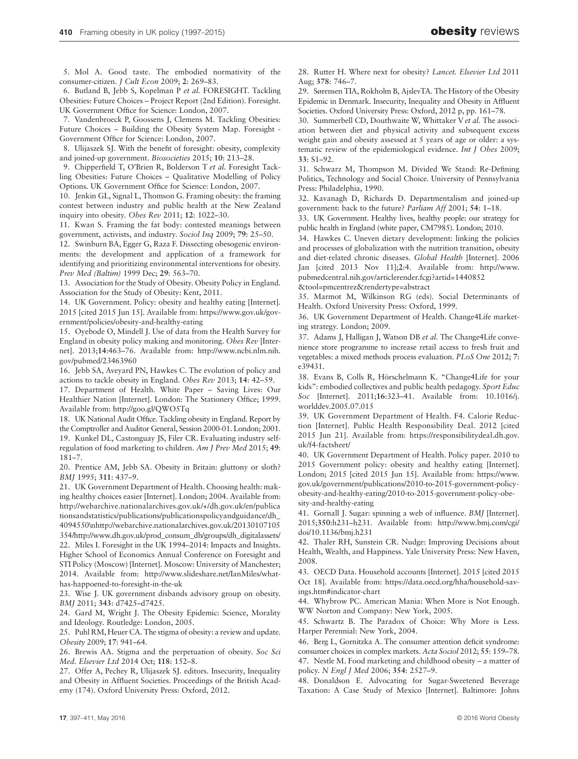5. Mol A. Good taste. The embodied normativity of the consumer-citizen. J Cult Econ 2009; 2: 269–83.

6. Butland B, Jebb S, Kopelman P et al. FORESIGHT. Tackling Obesities: Future Choices – Project Report (2nd Edition). Foresight. UK Government Office for Science: London, 2007.

7. Vandenbroeck P, Goossens J, Clemens M. Tackling Obesities: Future Choices – Building the Obesity System Map. Foresight - Government Office for Science: London, 2007.

8. Ulijaszek SJ. With the benefit of foresight: obesity, complexity and joined-up government. Biosocieties 2015; 10: 213–28.

9. Chipperfield T, O'Brien R, Bolderson T et al. Foresight Tackling Obesities: Future Choices – Qualitative Modelling of Policy Options. UK Government Office for Science: London, 2007.

10. Jenkin GL, Signal L, Thomson G. Framing obesity: the framing contest between industry and public health at the New Zealand inquiry into obesity. Obes Rev 2011; 12: 1022–30.

11. Kwan S. Framing the fat body: contested meanings between government, activists, and industry. Sociol Inq 2009; 79: 25–50.

12. Swinburn BA, Egger G, Raza F. Dissecting obesogenic environments: the development and application of a framework for identifying and prioritizing environmental interventions for obesity. Prev Med (Baltim) 1999 Dec; 29: 563–70.

13. Association for the Study of Obesity. Obesity Policy in England. Association for the Study of Obesity: Kent, 2011.

14. UK Government. Policy: obesity and healthy eating [Internet]. 2015 [cited 2015 Jun 15]. Available from: https://www.gov.uk/government/policies/obesity-and-healthy-eating

15. Oyebode O, Mindell J. Use of data from the Health Survey for England in obesity policy making and monitoring. Obes Rev [Internet]. 2013;14:463–76. Available from: http://www.ncbi.nlm.nih. gov/pubmed/23463960

16. Jebb SA, Aveyard PN, Hawkes C. The evolution of policy and actions to tackle obesity in England. Obes Rev 2013; 14: 42–59.

17. Department of Health. White Paper – Saving Lives: Our Healthier Nation [Internet]. London: The Stationery Office; 1999. Available from: http://goo.gl/QWO5Tq

18. UK National Audit Office. Tackling obesity in England. Report by the Comptroller and Auditor General, Session 2000-01. London; 2001. 19. Kunkel DL, Castonguay JS, Filer CR. Evaluating industry selfregulation of food marketing to children. Am J Prev Med 2015; 49: 181–7.

20. Prentice AM, Jebb SA. Obesity in Britain: gluttony or sloth? BMJ 1995; 311: 437–9.

21. UK Government Department of Health. Choosing health: making healthy choices easier [Internet]. London; 2004. Available from: http://webarchive.nationalarchives.gov.uk/+/dh.gov.uk/en/publica tionsandstatistics/publications/publicationspolicyandguidance/dh\_ 4094550\nhttp://webarchive.nationalarchives.gov.uk/20130107105 354/http://www.dh.gov.uk/prod\_consum\_dh/groups/dh\_digitalassets/ 22. Miles I. Foresight in the UK 1994–2014: Impacts and Insights. Higher School of Economics Annual Conference on Foresight and STI Policy (Moscow) [Internet]. Moscow: University of Manchester; 2014. Available from: http://www.slideshare.net/IanMiles/whathas-happoened-to-foresight-in-the-uk

23. Wise J. UK government disbands advisory group on obesity. BMJ 2011; 343: d7425–d7425.

24. Gard M, Wright J. The Obesity Epidemic: Science, Morality and Ideology. Routledge: London, 2005.

25. Puhl RM, Heuer CA. The stigma of obesity: a review and update. Obesity 2009; 17: 941–64.

26. Brewis AA. Stigma and the perpetuation of obesity. Soc Sci Med. Elsevier Ltd 2014 Oct; 118: 152–8.

27. Offer A, Pechey R, Ulijaszek SJ. editors. Insecurity, Inequality and Obesity in Affluent Societies. Proceedings of the British Academy (174). Oxford University Press: Oxford, 2012.

28. Rutter H. Where next for obesity? Lancet. Elsevier Ltd 2011 Aug; 378: 746–7.

29. Sørensen TIA, Rokholm B, AjslevTA. The History of the Obesity Epidemic in Denmark. Insecurity, Inequality and Obesity in Affluent Societies. Oxford University Press: Oxford, 2012 p, pp. 161–78.

30. Summerbell CD, Douthwaite W, Whittaker V et al. The association between diet and physical activity and subsequent excess weight gain and obesity assessed at 5 years of age or older: a systematic review of the epidemiological evidence. Int J Obes 2009; 33: S1–92.

31. Schwarz M, Thompson M. Divided We Stand: Re-Defining Politics, Technology and Social Choice. University of Pennsylvania Press: Philadelphia, 1990.

32. Kavanagh D, Richards D. Departmentalism and joined-up government: back to the future? Parliam Aff 2001; 54: 1–18.

33. UK Government. Healthy lives, healthy people: our strategy for public health in England (white paper, CM7985). London; 2010.

34. Hawkes C. Uneven dietary development: linking the policies and processes of globalization with the nutrition transition, obesity and diet-related chronic diseases. Global Health [Internet]. 2006 Jan [cited 2013 Nov 11];2:4. Available from: http://www. pubmedcentral.nih.gov/articlerender.fcgi?artid=1440852 &tool=pmcentrez&rendertype=abstract

35. Marmot M, Wilkinson RG (eds). Social Determinants of Health. Oxford University Press: Oxford, 1999.

36. UK Government Department of Health. Change4Life marketing strategy. London; 2009.

37. Adams J, Halligan J, Watson DB et al. The Change4Life convenience store programme to increase retail access to fresh fruit and vegetables: a mixed methods process evaluation. PLoS One 2012; 7: e39431.

38. Evans B, Colls R, Hörschelmann K. "Change4Life for your kids": embodied collectives and public health pedagogy. Sport Educ Soc [Internet]. 2011;16:323–41. Available from: 10.1016/j. worlddev.2005.07.015

39. UK Government Department of Health. F4. Calorie Reduction [Internet]. Public Health Responsibility Deal. 2012 [cited 2015 Jun 21]. Available from: https://responsibilitydeal.dh.gov. uk/f4-factsheet/

40. UK Government Department of Health. Policy paper. 2010 to 2015 Government policy: obesity and healthy eating [Internet]. London; 2015 [cited 2015 Jun 15]. Available from: https://www. gov.uk/government/publications/2010-to-2015-government-policyobesity-and-healthy-eating/2010-to-2015-government-policy-obesity-and-healthy-eating

41. Gornall J. Sugar: spinning a web of influence. BMJ [Internet]. 2015;350:h231–h231. Available from: http://www.bmj.com/cgi/ doi/10.1136/bmj.h231

42. Thaler RH, Sunstein CR. Nudge: Improving Decisions about Health, Wealth, and Happiness. Yale University Press: New Haven, 2008.

43. OECD Data. Household accounts [Internet]. 2015 [cited 2015 Oct 18]. Available from: https://data.oecd.org/hha/household-savings.htm#indicator-chart

44. Whybrow PC. American Mania: When More is Not Enough. WW Norton and Company: New York, 2005.

45. Schwartz B. The Paradox of Choice: Why More is Less. Harper Perennial: New York, 2004.

46. Berg L, Gornitzka A. The consumer attention deficit syndrome: consumer choices in complex markets. Acta Sociol 2012; 55: 159–78. 47. Nestle M. Food marketing and childhood obesity – a matter of policy. N Engl J Med 2006; 354: 2527–9.

48. Donaldson E. Advocating for Sugar-Sweetened Beverage Taxation: A Case Study of Mexico [Internet]. Baltimore: Johns